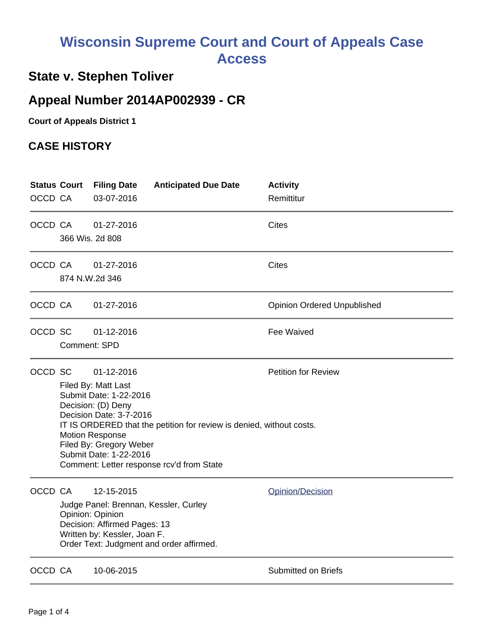## **Wisconsin Supreme Court and Court of Appeals Case Access**

## **State v. Stephen Toliver**

## **Appeal Number 2014AP002939 - CR**

**Court of Appeals District 1**

## **CASE HISTORY**

|         |                                                                                                                                                                                                                                                                                                                                                |                               |  | Remittitur                         |
|---------|------------------------------------------------------------------------------------------------------------------------------------------------------------------------------------------------------------------------------------------------------------------------------------------------------------------------------------------------|-------------------------------|--|------------------------------------|
| OCCD CA |                                                                                                                                                                                                                                                                                                                                                | 01-27-2016<br>366 Wis. 2d 808 |  | Cites                              |
| OCCD CA |                                                                                                                                                                                                                                                                                                                                                | 01-27-2016<br>874 N.W.2d 346  |  | Cites                              |
| OCCD CA |                                                                                                                                                                                                                                                                                                                                                | 01-27-2016                    |  | <b>Opinion Ordered Unpublished</b> |
| OCCD SC | Comment: SPD                                                                                                                                                                                                                                                                                                                                   | 01-12-2016                    |  | Fee Waived                         |
| OCCD SC | <b>Petition for Review</b><br>01-12-2016<br>Filed By: Matt Last<br>Submit Date: 1-22-2016<br>Decision: (D) Deny<br>Decision Date: 3-7-2016<br>IT IS ORDERED that the petition for review is denied, without costs.<br><b>Motion Response</b><br>Filed By: Gregory Weber<br>Submit Date: 1-22-2016<br>Comment: Letter response rcv'd from State |                               |  |                                    |
| OCCD CA | 12-15-2015<br>Judge Panel: Brennan, Kessler, Curley<br>Opinion: Opinion<br>Decision: Affirmed Pages: 13<br>Written by: Kessler, Joan F.<br>Order Text: Judgment and order affirmed.                                                                                                                                                            |                               |  | Opinion/Decision                   |
| OCCD CA |                                                                                                                                                                                                                                                                                                                                                | 10-06-2015                    |  | Submitted on Briefs                |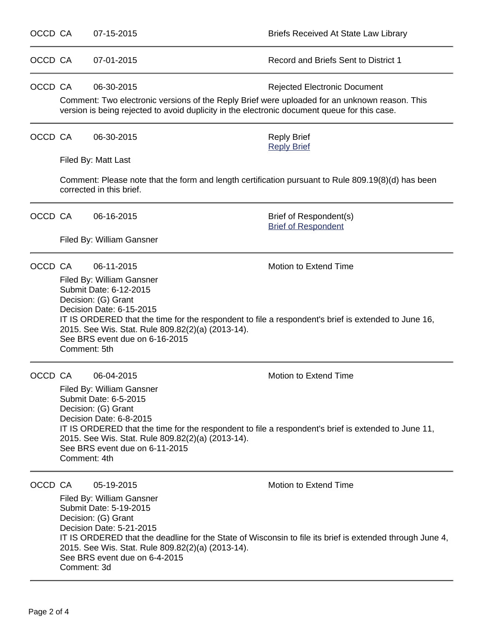| OCCD CA            |                                                                                                                                | 07-15-2015                                                                                                                                                                                                                                                                                                                                                                                                                               | Briefs Received At State Law Library                                                                                                                                                                                                                         |  |  |  |
|--------------------|--------------------------------------------------------------------------------------------------------------------------------|------------------------------------------------------------------------------------------------------------------------------------------------------------------------------------------------------------------------------------------------------------------------------------------------------------------------------------------------------------------------------------------------------------------------------------------|--------------------------------------------------------------------------------------------------------------------------------------------------------------------------------------------------------------------------------------------------------------|--|--|--|
| OCCD CA            |                                                                                                                                | 07-01-2015                                                                                                                                                                                                                                                                                                                                                                                                                               | Record and Briefs Sent to District 1                                                                                                                                                                                                                         |  |  |  |
| OCCD CA            |                                                                                                                                | 06-30-2015                                                                                                                                                                                                                                                                                                                                                                                                                               | <b>Rejected Electronic Document</b><br>Comment: Two electronic versions of the Reply Brief were uploaded for an unknown reason. This<br>version is being rejected to avoid duplicity in the electronic document queue for this case.                         |  |  |  |
| OCCD CA            |                                                                                                                                | 06-30-2015                                                                                                                                                                                                                                                                                                                                                                                                                               | <b>Reply Brief</b><br><b>Reply Brief</b>                                                                                                                                                                                                                     |  |  |  |
|                    |                                                                                                                                | Filed By: Matt Last                                                                                                                                                                                                                                                                                                                                                                                                                      |                                                                                                                                                                                                                                                              |  |  |  |
|                    | Comment: Please note that the form and length certification pursuant to Rule 809.19(8)(d) has been<br>corrected in this brief. |                                                                                                                                                                                                                                                                                                                                                                                                                                          |                                                                                                                                                                                                                                                              |  |  |  |
| OCCD CA            |                                                                                                                                | 06-16-2015                                                                                                                                                                                                                                                                                                                                                                                                                               | Brief of Respondent(s)<br><b>Brief of Respondent</b>                                                                                                                                                                                                         |  |  |  |
|                    |                                                                                                                                | Filed By: William Gansner                                                                                                                                                                                                                                                                                                                                                                                                                |                                                                                                                                                                                                                                                              |  |  |  |
| OCCD CA<br>OCCD CA |                                                                                                                                | 06-11-2015<br>Filed By: William Gansner<br>Submit Date: 6-12-2015<br>Decision: (G) Grant<br>Decision Date: 6-15-2015<br>2015. See Wis. Stat. Rule 809.82(2)(a) (2013-14).<br>See BRS event due on 6-16-2015<br>Comment: 5th<br>06-04-2015<br>Filed By: William Gansner<br>Submit Date: 6-5-2015<br>Decision: (G) Grant<br>Decision Date: 6-8-2015<br>2015. See Wis. Stat. Rule 809.82(2)(a) (2013-14).<br>See BRS event due on 6-11-2015 | Motion to Extend Time<br>IT IS ORDERED that the time for the respondent to file a respondent's brief is extended to June 16,<br>Motion to Extend Time<br>IT IS ORDERED that the time for the respondent to file a respondent's brief is extended to June 11, |  |  |  |
| OCCD CA            |                                                                                                                                | Comment: 4th<br>05-19-2015<br>Filed By: William Gansner<br>Submit Date: 5-19-2015<br>Decision: (G) Grant<br>Decision Date: 5-21-2015<br>2015. See Wis. Stat. Rule 809.82(2)(a) (2013-14).<br>See BRS event due on 6-4-2015<br>Comment: 3d                                                                                                                                                                                                | <b>Motion to Extend Time</b><br>IT IS ORDERED that the deadline for the State of Wisconsin to file its brief is extended through June 4,                                                                                                                     |  |  |  |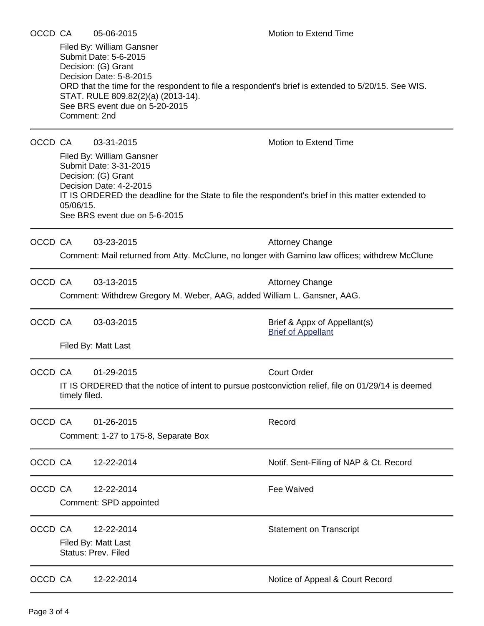| OCCD CA |                                                                                                                 | 05-06-2015                                                                                                                                                                   | Motion to Extend Time                                                                                                       |
|---------|-----------------------------------------------------------------------------------------------------------------|------------------------------------------------------------------------------------------------------------------------------------------------------------------------------|-----------------------------------------------------------------------------------------------------------------------------|
|         | Comment: 2nd                                                                                                    | Filed By: William Gansner<br>Submit Date: 5-6-2015<br>Decision: (G) Grant<br>Decision Date: 5-8-2015<br>STAT. RULE 809.82(2)(a) (2013-14).<br>See BRS event due on 5-20-2015 | ORD that the time for the respondent to file a respondent's brief is extended to 5/20/15. See WIS.                          |
| OCCD CA | 05/06/15.                                                                                                       | 03-31-2015<br>Filed By: William Gansner<br>Submit Date: 3-31-2015<br>Decision: (G) Grant<br>Decision Date: 4-2-2015<br>See BRS event due on 5-6-2015                         | Motion to Extend Time<br>IT IS ORDERED the deadline for the State to file the respondent's brief in this matter extended to |
| OCCD CA |                                                                                                                 | 03-23-2015                                                                                                                                                                   | <b>Attorney Change</b><br>Comment: Mail returned from Atty. McClune, no longer with Gamino law offices; withdrew McClune    |
| OCCD CA | 03-13-2015<br><b>Attorney Change</b><br>Comment: Withdrew Gregory M. Weber, AAG, added William L. Gansner, AAG. |                                                                                                                                                                              |                                                                                                                             |
| OCCD CA |                                                                                                                 | 03-03-2015<br>Filed By: Matt Last                                                                                                                                            | Brief & Appx of Appellant(s)<br><b>Brief of Appellant</b>                                                                   |
| OCCD CA | timely filed.                                                                                                   | 01-29-2015                                                                                                                                                                   | <b>Court Order</b><br>IT IS ORDERED that the notice of intent to pursue postconviction relief, file on 01/29/14 is deemed   |
| OCCD CA |                                                                                                                 | 01-26-2015<br>Comment: 1-27 to 175-8, Separate Box                                                                                                                           | Record                                                                                                                      |
| OCCD CA |                                                                                                                 | 12-22-2014                                                                                                                                                                   | Notif. Sent-Filing of NAP & Ct. Record                                                                                      |
| OCCD CA |                                                                                                                 | 12-22-2014<br>Comment: SPD appointed                                                                                                                                         | Fee Waived                                                                                                                  |
| OCCD CA |                                                                                                                 | 12-22-2014<br>Filed By: Matt Last<br><b>Status: Prev. Filed</b>                                                                                                              | <b>Statement on Transcript</b>                                                                                              |
| OCCD CA |                                                                                                                 | 12-22-2014                                                                                                                                                                   | Notice of Appeal & Court Record                                                                                             |